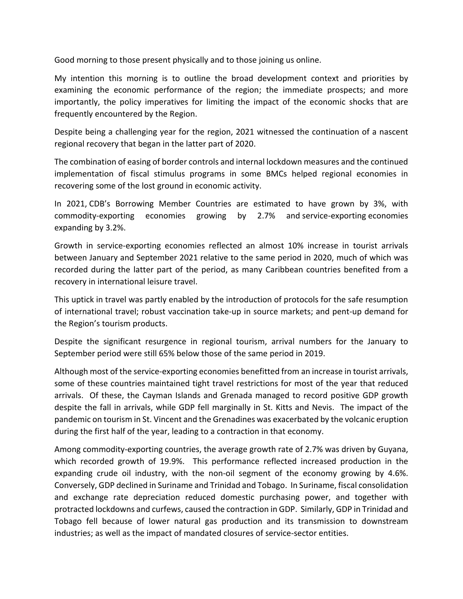Good morning to those present physically and to those joining us online.

My intention this morning is to outline the broad development context and priorities by examining the economic performance of the region; the immediate prospects; and more importantly, the policy imperatives for limiting the impact of the economic shocks that are frequently encountered by the Region.

Despite being a challenging year for the region, 2021 witnessed the continuation of a nascent regional recovery that began in the latter part of 2020.

The combination of easing of border controls and internal lockdown measures and the continued implementation of fiscal stimulus programs in some BMCs helped regional economies in recovering some of the lost ground in economic activity.

In 2021, CDB's Borrowing Member Countries are estimated to have grown by 3%, with commodity-exporting economies growing by 2.7% and service-exporting economies expanding by 3.2%.

Growth in service-exporting economies reflected an almost 10% increase in tourist arrivals between January and September 2021 relative to the same period in 2020, much of which was recorded during the latter part of the period, as many Caribbean countries benefited from a recovery in international leisure travel.

This uptick in travel was partly enabled by the introduction of protocols for the safe resumption of international travel; robust vaccination take-up in source markets; and pent-up demand for the Region's tourism products.

Despite the significant resurgence in regional tourism, arrival numbers for the January to September period were still 65% below those of the same period in 2019.

Although most of the service-exporting economies benefitted from an increase in tourist arrivals, some of these countries maintained tight travel restrictions for most of the year that reduced arrivals. Of these, the Cayman Islands and Grenada managed to record positive GDP growth despite the fall in arrivals, while GDP fell marginally in St. Kitts and Nevis. The impact of the pandemic on tourism in St. Vincent and the Grenadines was exacerbated by the volcanic eruption during the first half of the year, leading to a contraction in that economy.

Among commodity-exporting countries, the average growth rate of 2.7% was driven by Guyana, which recorded growth of 19.9%. This performance reflected increased production in the expanding crude oil industry, with the non-oil segment of the economy growing by 4.6%. Conversely, GDP declined in Suriname and Trinidad and Tobago. In Suriname, fiscal consolidation and exchange rate depreciation reduced domestic purchasing power, and together with protracted lockdowns and curfews, caused the contraction in GDP. Similarly, GDP in Trinidad and Tobago fell because of lower natural gas production and its transmission to downstream industries; as well as the impact of mandated closures of service-sector entities.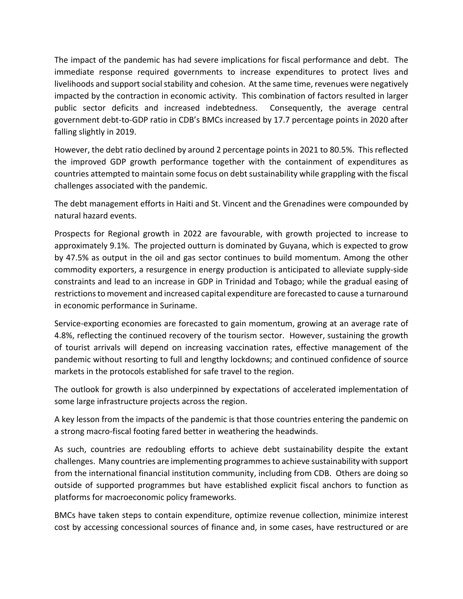The impact of the pandemic has had severe implications for fiscal performance and debt. The immediate response required governments to increase expenditures to protect lives and livelihoods and support social stability and cohesion. At the same time, revenues were negatively impacted by the contraction in economic activity. This combination of factors resulted in larger public sector deficits and increased indebtedness. Consequently, the average central government debt-to-GDP ratio in CDB's BMCs increased by 17.7 percentage points in 2020 after falling slightly in 2019.

However, the debt ratio declined by around 2 percentage points in 2021 to 80.5%. This reflected the improved GDP growth performance together with the containment of expenditures as countries attempted to maintain some focus on debt sustainability while grappling with the fiscal challenges associated with the pandemic.

The debt management efforts in Haiti and St. Vincent and the Grenadines were compounded by natural hazard events.

Prospects for Regional growth in 2022 are favourable, with growth projected to increase to approximately 9.1%. The projected outturn is dominated by Guyana, which is expected to grow by 47.5% as output in the oil and gas sector continues to build momentum. Among the other commodity exporters, a resurgence in energy production is anticipated to alleviate supply-side constraints and lead to an increase in GDP in Trinidad and Tobago; while the gradual easing of restrictions to movement and increased capital expenditure are forecasted to cause a turnaround in economic performance in Suriname.

Service-exporting economies are forecasted to gain momentum, growing at an average rate of 4.8%, reflecting the continued recovery of the tourism sector. However, sustaining the growth of tourist arrivals will depend on increasing vaccination rates, effective management of the pandemic without resorting to full and lengthy lockdowns; and continued confidence of source markets in the protocols established for safe travel to the region.

The outlook for growth is also underpinned by expectations of accelerated implementation of some large infrastructure projects across the region.

A key lesson from the impacts of the pandemic is that those countries entering the pandemic on a strong macro-fiscal footing fared better in weathering the headwinds.

As such, countries are redoubling efforts to achieve debt sustainability despite the extant challenges. Many countries are implementing programmes to achieve sustainability with support from the international financial institution community, including from CDB. Others are doing so outside of supported programmes but have established explicit fiscal anchors to function as platforms for macroeconomic policy frameworks.

BMCs have taken steps to contain expenditure, optimize revenue collection, minimize interest cost by accessing concessional sources of finance and, in some cases, have restructured or are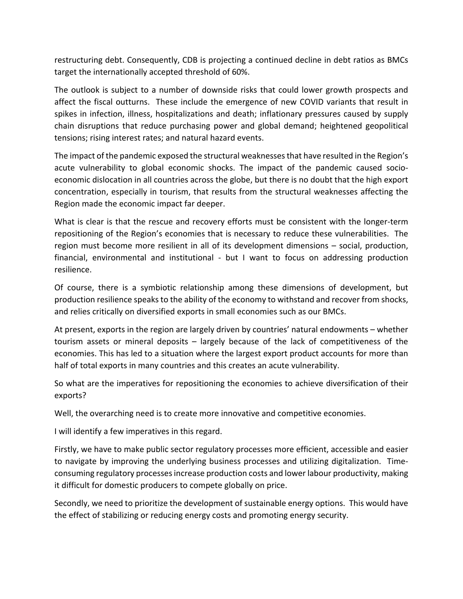restructuring debt. Consequently, CDB is projecting a continued decline in debt ratios as BMCs target the internationally accepted threshold of 60%.

The outlook is subject to a number of downside risks that could lower growth prospects and affect the fiscal outturns. These include the emergence of new COVID variants that result in spikes in infection, illness, hospitalizations and death; inflationary pressures caused by supply chain disruptions that reduce purchasing power and global demand; heightened geopolitical tensions; rising interest rates; and natural hazard events.

The impact of the pandemic exposed the structural weaknesses that have resulted in the Region's acute vulnerability to global economic shocks. The impact of the pandemic caused socioeconomic dislocation in all countries across the globe, but there is no doubt that the high export concentration, especially in tourism, that results from the structural weaknesses affecting the Region made the economic impact far deeper.

What is clear is that the rescue and recovery efforts must be consistent with the longer-term repositioning of the Region's economies that is necessary to reduce these vulnerabilities. The region must become more resilient in all of its development dimensions – social, production, financial, environmental and institutional - but I want to focus on addressing production resilience.

Of course, there is a symbiotic relationship among these dimensions of development, but production resilience speaks to the ability of the economy to withstand and recover from shocks, and relies critically on diversified exports in small economies such as our BMCs.

At present, exports in the region are largely driven by countries' natural endowments – whether tourism assets or mineral deposits – largely because of the lack of competitiveness of the economies. This has led to a situation where the largest export product accounts for more than half of total exports in many countries and this creates an acute vulnerability.

So what are the imperatives for repositioning the economies to achieve diversification of their exports?

Well, the overarching need is to create more innovative and competitive economies.

I will identify a few imperatives in this regard.

Firstly, we have to make public sector regulatory processes more efficient, accessible and easier to navigate by improving the underlying business processes and utilizing digitalization. Timeconsuming regulatory processesincrease production costs and lower labour productivity, making it difficult for domestic producers to compete globally on price.

Secondly, we need to prioritize the development of sustainable energy options. This would have the effect of stabilizing or reducing energy costs and promoting energy security.